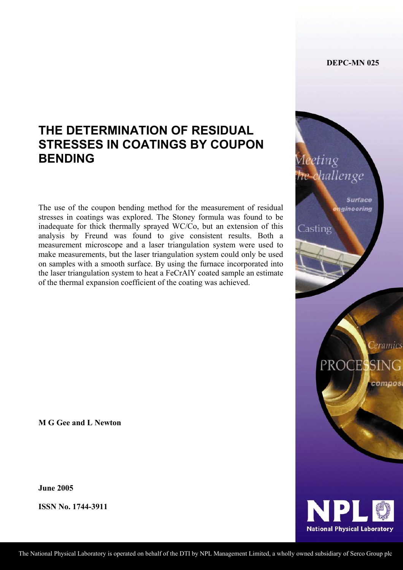**DEPC-MN 025** 

Aeeting

Casting

hallenge

**Surface** gineering

**Ceramics** 

PROCESSING

# **THE DETERMINATION OF RESIDUAL STRESSES IN COATINGS BY COUPON BENDING**

The use of the coupon bending method for the measurement of residual stresses in coatings was explored. The Stoney formula was found to be inadequate for thick thermally sprayed WC/Co, but an extension of this analysis by Freund was found to give consistent results. Both a measurement microscope and a laser triangulation system were used to make measurements, but the laser triangulation system could only be used on samples with a smooth surface. By using the furnace incorporated into the laser triangulation system to heat a FeCrAlY coated sample an estimate of the thermal expansion coefficient of the coating was achieved.

**M G Gee and L Newton** 

**June 2005**

**ISSN No. 1744-3911** 

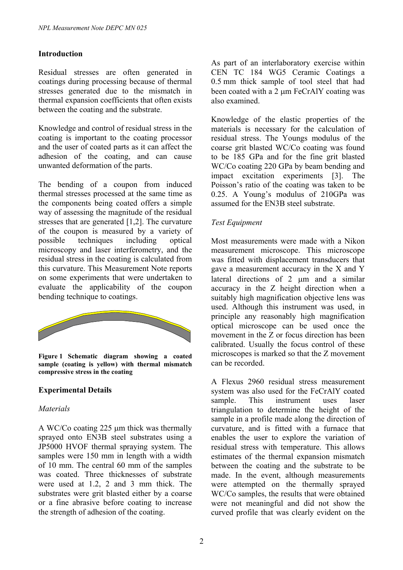## **Introduction**

Residual stresses are often generated in coatings during processing because of thermal stresses generated due to the mismatch in thermal expansion coefficients that often exists between the coating and the substrate.

Knowledge and control of residual stress in the coating is important to the coating processor and the user of coated parts as it can affect the adhesion of the coating, and can cause unwanted deformation of the parts.

The bending of a coupon from induced thermal stresses processed at the same time as the components being coated offers a simple way of assessing the magnitude of the residual stresses that are generated [1,2]. The curvature of the coupon is measured by a variety of possible techniques including optical microscopy and laser interferometry, and the residual stress in the coating is calculated from this curvature. This Measurement Note reports on some experiments that were undertaken to evaluate the applicability of the coupon bending technique to coatings.



**Figure 1 Schematic diagram showing a coated sample (coating is yellow) with thermal mismatch compressive stress in the coating** 

# **Experimental Details**

## *Materials*

A WC/Co coating 225 µm thick was thermally sprayed onto EN3B steel substrates using a JP5000 HVOF thermal spraying system. The samples were 150 mm in length with a width of 10 mm. The central 60 mm of the samples was coated. Three thicknesses of substrate were used at 1.2, 2 and 3 mm thick. The substrates were grit blasted either by a coarse or a fine abrasive before coating to increase the strength of adhesion of the coating.

As part of an interlaboratory exercise within CEN TC 184 WG5 Ceramic Coatings a 0.5 mm thick sample of tool steel that had been coated with a 2 μm FeCrAlY coating was also examined.

Knowledge of the elastic properties of the materials is necessary for the calculation of residual stress. The Youngs modulus of the coarse grit blasted WC/Co coating was found to be 185 GPa and for the fine grit blasted WC/Co coating 220 GPa by beam bending and impact excitation experiments [3]. The Poisson's ratio of the coating was taken to be 0.25. A Young's modulus of 210GPa was assumed for the EN3B steel substrate.

# *Test Equipment*

Most measurements were made with a Nikon measurement microscope. This microscope was fitted with displacement transducers that gave a measurement accuracy in the X and Y lateral directions of 2 um and a similar accuracy in the Z height direction when a suitably high magnification objective lens was used. Although this instrument was used, in principle any reasonably high magnification optical microscope can be used once the movement in the Z or focus direction has been calibrated. Usually the focus control of these microscopes is marked so that the Z movement can be recorded.

A Flexus 2960 residual stress measurement system was also used for the FeCrAlY coated sample. This instrument uses laser triangulation to determine the height of the sample in a profile made along the direction of curvature, and is fitted with a furnace that enables the user to explore the variation of residual stress with temperature. This allows estimates of the thermal expansion mismatch between the coating and the substrate to be made. In the event, although measurements were attempted on the thermally sprayed WC/Co samples, the results that were obtained were not meaningful and did not show the curved profile that was clearly evident on the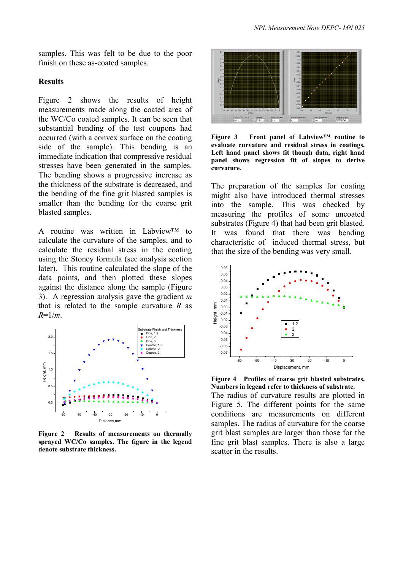samples. This was felt to be due to the poor finish on these as-coated samples.

## **Results**

Figure 2 shows the results of height measurements made along the coated area of the WC/Co coated samples. It can be seen that substantial bending of the test coupons had occurred (with a convex surface on the coating side of the sample). This bending is an immediate indication that compressive residual stresses have been generated in the samples. The bending shows a progressive increase as the thickness of the substrate is decreased, and the bending of the fine grit blasted samples is smaller than the bending for the coarse grit blasted samples.

A routine was written in Labview™ to calculate the curvature of the samples, and to calculate the residual stress in the coating using the Stoney formula (see analysis section later). This routine calculated the slope of the data points, and then plotted these slopes against the distance along the sample (Figure 3). A regression analysis gave the gradient *m* that is related to the sample curvature *R* as *R*=1/*m*.



**Figure 2 Results of measurements on thermally sprayed WC/Co samples. The figure in the legend denote substrate thickness.**



**Figure 3 Front panel of Labview™ routine to evaluate curvature and residual stress in coatings. Left hand panel shows fit though data, right hand panel shows regression fit of slopes to derive curvature.** 

The preparation of the samples for coating might also have introduced thermal stresses into the sample. This was checked by measuring the profiles of some uncoated substrates (Figure 4) that had been grit blasted. It was found that there was bending characteristic of induced thermal stress, but that the size of the bending was very small.



**Figure 4 Profiles of coarse grit blasted substrates. Numbers in legend refer to thickness of substrate.** The radius of curvature results are plotted in Figure 5. The different points for the same conditions are measurements on different samples. The radius of curvature for the coarse grit blast samples are larger than those for the fine grit blast samples. There is also a large scatter in the results.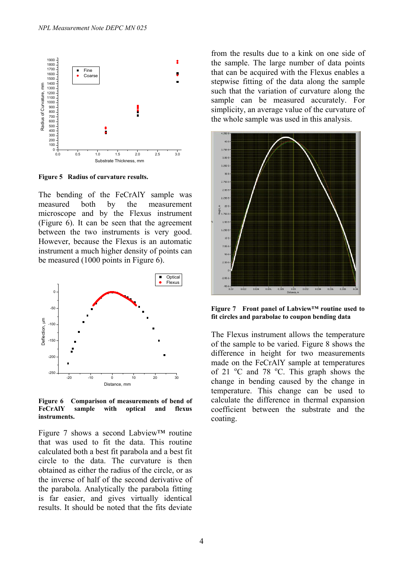

**Figure 5 Radius of curvature results.** 

The bending of the FeCrAlY sample was measured both by the measurement microscope and by the Flexus instrument (Figure 6). It can be seen that the agreement between the two instruments is very good. However, because the Flexus is an automatic instrument a much higher density of points can be measured (1000 points in Figure 6).



**Figure 6 Comparison of measurements of bend of FeCrAlY sample with optical and flexus instruments.** 

Figure 7 shows a second Labview™ routine that was used to fit the data. This routine calculated both a best fit parabola and a best fit circle to the data. The curvature is then obtained as either the radius of the circle, or as the inverse of half of the second derivative of the parabola. Analytically the parabola fitting is far easier, and gives virtually identical results. It should be noted that the fits deviate

from the results due to a kink on one side of the sample. The large number of data points that can be acquired with the Flexus enables a stepwise fitting of the data along the sample such that the variation of curvature along the sample can be measured accurately. For simplicity, an average value of the curvature of the whole sample was used in this analysis.



**Figure 7 Front panel of Labview™ routine used to fit circles and parabolae to coupon bending data** 

The Flexus instrument allows the temperature of the sample to be varied. Figure 8 shows the difference in height for two measurements made on the FeCrAlY sample at temperatures of 21  $\degree$ C and 78  $\degree$ C. This graph shows the change in bending caused by the change in temperature. This change can be used to calculate the difference in thermal expansion coefficient between the substrate and the coating.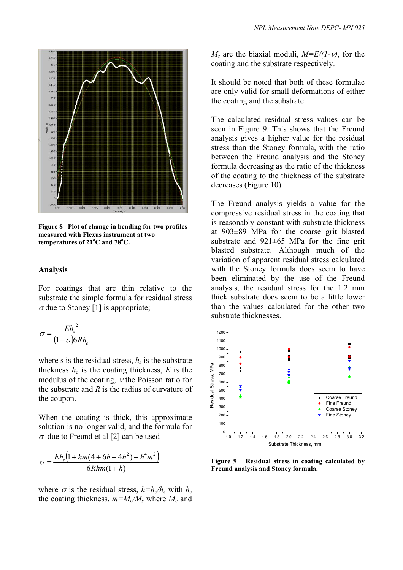

**Figure 8 Plot of change in bending for two profiles measured with Flexus instrument at two**   $temperatures$  of  $21^{\circ}$ C and  $78^{\circ}$ C.

#### **Analysis**

For coatings that are thin relative to the substrate the simple formula for residual stress  $\sigma$  due to Stoney [1] is appropriate;

$$
\sigma = \frac{E h_s^2}{(1 - \nu) 6 R h_c}
$$

where s is the residual stress,  $h_s$  is the substrate thickness  $h_c$  is the coating thickness,  $E$  is the modulus of the coating, ν the Poisson ratio for the substrate and *R* is the radius of curvature of the coupon.

When the coating is thick, this approximate solution is no longer valid, and the formula for  $\sigma$  due to Freund et al [2] can be used

$$
\sigma = \frac{E h_s \left(1 + h m (4 + 6 h + 4 h^2) + h^4 m^2\right)}{6 R h m (1 + h)}
$$

where  $\sigma$  is the residual stress,  $h=h_c/h_s$  with  $h_c$ the coating thickness,  $m=M_c/M_s$  where  $M_c$  and  $M_s$  are the biaxial moduli,  $M = E/(1-\nu)$ , for the coating and the substrate respectively.

It should be noted that both of these formulae are only valid for small deformations of either the coating and the substrate.

The calculated residual stress values can be seen in Figure 9. This shows that the Freund analysis gives a higher value for the residual stress than the Stoney formula, with the ratio between the Freund analysis and the Stoney formula decreasing as the ratio of the thickness of the coating to the thickness of the substrate decreases (Figure 10).

The Freund analysis yields a value for the compressive residual stress in the coating that is reasonably constant with substrate thickness at 903±89 MPa for the coarse grit blasted substrate and 921±65 MPa for the fine grit blasted substrate. Although much of the variation of apparent residual stress calculated with the Stoney formula does seem to have been eliminated by the use of the Freund analysis, the residual stress for the 1.2 mm thick substrate does seem to be a little lower than the values calculated for the other two substrate thicknesses.



**Figure 9 Residual stress in coating calculated by Freund analysis and Stoney formula.**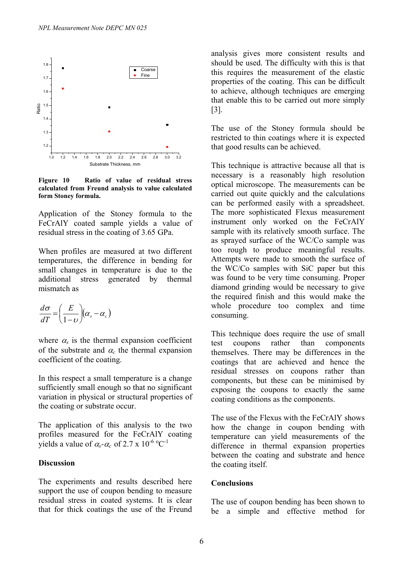

**Figure 10 Ratio of value of residual stress calculated from Freund analysis to value calculated form Stoney formula.** 

Application of the Stoney formula to the FeCrAlY coated sample yields a value of residual stress in the coating of 3.65 GPa.

When profiles are measured at two different temperatures, the difference in bending for small changes in temperature is due to the additional stress generated by thermal mismatch as

$$
\frac{d\sigma}{dT} = \left(\frac{E}{1-\nu}\right) (\alpha_s - \alpha_c)
$$

where  $\alpha_s$  is the thermal expansion coefficient of the substrate and  $\alpha_c$  the thermal expansion coefficient of the coating.

In this respect a small temperature is a change sufficiently small enough so that no significant variation in physical or structural properties of the coating or substrate occur.

The application of this analysis to the two profiles measured for the FeCrAlY coating yields a value of  $\alpha_s$ - $\alpha_c$  of 2.7 x 10<sup>-6</sup> °C<sup>-1</sup>

## **Discussion**

The experiments and results described here support the use of coupon bending to measure residual stress in coated systems. It is clear that for thick coatings the use of the Freund analysis gives more consistent results and should be used. The difficulty with this is that this requires the measurement of the elastic properties of the coating. This can be difficult to achieve, although techniques are emerging that enable this to be carried out more simply [3].

The use of the Stoney formula should be restricted to thin coatings where it is expected that good results can be achieved.

This technique is attractive because all that is necessary is a reasonably high resolution optical microscope. The measurements can be carried out quite quickly and the calculations can be performed easily with a spreadsheet. The more sophisticated Flexus measurement instrument only worked on the FeCrAlY sample with its relatively smooth surface. The as sprayed surface of the WC/Co sample was too rough to produce meaningful results. Attempts were made to smooth the surface of the WC/Co samples with SiC paper but this was found to be very time consuming. Proper diamond grinding would be necessary to give the required finish and this would make the whole procedure too complex and time consuming.

This technique does require the use of small test coupons rather than components themselves. There may be differences in the coatings that are achieved and hence the residual stresses on coupons rather than components, but these can be minimised by exposing the coupons to exactly the same coating conditions as the components.

The use of the Flexus with the FeCrAlY shows how the change in coupon bending with temperature can yield measurements of the difference in thermal expansion properties between the coating and substrate and hence the coating itself.

## **Conclusions**

The use of coupon bending has been shown to be a simple and effective method for